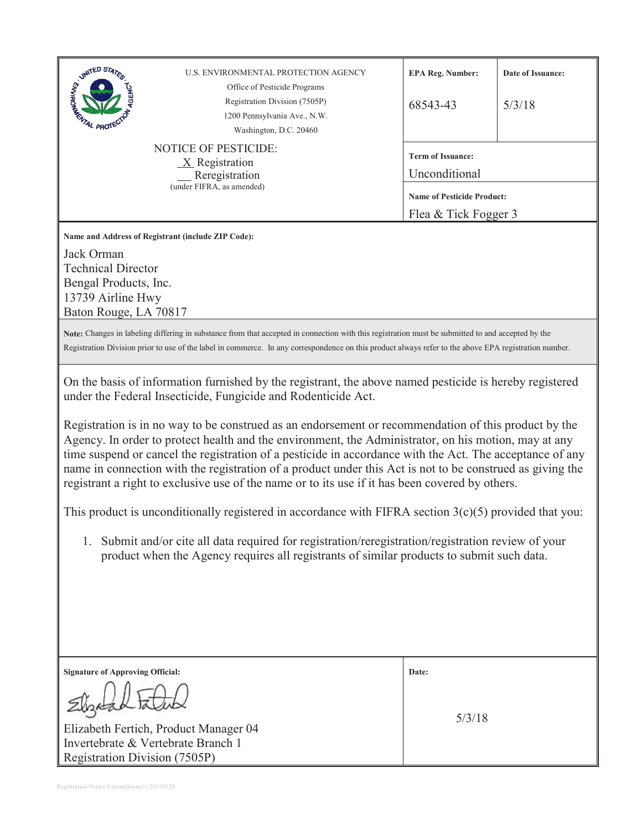| <b>NOTICE OF PESTICIDE:</b><br><b>Term of Issuance:</b><br>$X$ Registration<br>Unconditional<br>Reregistration<br>(under FIFRA, as amended)<br><b>Name of Pesticide Product:</b><br>Flea & Tick Fogger 3<br>Name and Address of Registrant (include ZIP Code):<br>Jack Orman<br><b>Technical Director</b><br>Bengal Products, Inc.<br>13739 Airline Hwy<br>Baton Rouge, LA 70817<br>Note: Changes in labeling differing in substance from that accepted in connection with this registration must be submitted to and accepted by the<br>Registration Division prior to use of the label in commerce. In any correspondence on this product always refer to the above EPA registration number.<br>On the basis of information furnished by the registrant, the above named pesticide is hereby registered<br>under the Federal Insecticide, Fungicide and Rodenticide Act.<br>Registration is in no way to be construed as an endorsement or recommendation of this product by the<br>Agency. In order to protect health and the environment, the Administrator, on his motion, may at any<br>time suspend or cancel the registration of a pesticide in accordance with the Act. The acceptance of any<br>name in connection with the registration of a product under this Act is not to be construed as giving the<br>registrant a right to exclusive use of the name or to its use if it has been covered by others.<br>This product is unconditionally registered in accordance with FIFRA section $3(c)(5)$ provided that you:<br>1. Submit and/or cite all data required for registration/reregistration/registration review of your |  |  |
|-------------------------------------------------------------------------------------------------------------------------------------------------------------------------------------------------------------------------------------------------------------------------------------------------------------------------------------------------------------------------------------------------------------------------------------------------------------------------------------------------------------------------------------------------------------------------------------------------------------------------------------------------------------------------------------------------------------------------------------------------------------------------------------------------------------------------------------------------------------------------------------------------------------------------------------------------------------------------------------------------------------------------------------------------------------------------------------------------------------------------------------------------------------------------------------------------------------------------------------------------------------------------------------------------------------------------------------------------------------------------------------------------------------------------------------------------------------------------------------------------------------------------------------------------------------------------------------------------------------------------------------------|--|--|
|                                                                                                                                                                                                                                                                                                                                                                                                                                                                                                                                                                                                                                                                                                                                                                                                                                                                                                                                                                                                                                                                                                                                                                                                                                                                                                                                                                                                                                                                                                                                                                                                                                           |  |  |
|                                                                                                                                                                                                                                                                                                                                                                                                                                                                                                                                                                                                                                                                                                                                                                                                                                                                                                                                                                                                                                                                                                                                                                                                                                                                                                                                                                                                                                                                                                                                                                                                                                           |  |  |
|                                                                                                                                                                                                                                                                                                                                                                                                                                                                                                                                                                                                                                                                                                                                                                                                                                                                                                                                                                                                                                                                                                                                                                                                                                                                                                                                                                                                                                                                                                                                                                                                                                           |  |  |
|                                                                                                                                                                                                                                                                                                                                                                                                                                                                                                                                                                                                                                                                                                                                                                                                                                                                                                                                                                                                                                                                                                                                                                                                                                                                                                                                                                                                                                                                                                                                                                                                                                           |  |  |
|                                                                                                                                                                                                                                                                                                                                                                                                                                                                                                                                                                                                                                                                                                                                                                                                                                                                                                                                                                                                                                                                                                                                                                                                                                                                                                                                                                                                                                                                                                                                                                                                                                           |  |  |
|                                                                                                                                                                                                                                                                                                                                                                                                                                                                                                                                                                                                                                                                                                                                                                                                                                                                                                                                                                                                                                                                                                                                                                                                                                                                                                                                                                                                                                                                                                                                                                                                                                           |  |  |
|                                                                                                                                                                                                                                                                                                                                                                                                                                                                                                                                                                                                                                                                                                                                                                                                                                                                                                                                                                                                                                                                                                                                                                                                                                                                                                                                                                                                                                                                                                                                                                                                                                           |  |  |
|                                                                                                                                                                                                                                                                                                                                                                                                                                                                                                                                                                                                                                                                                                                                                                                                                                                                                                                                                                                                                                                                                                                                                                                                                                                                                                                                                                                                                                                                                                                                                                                                                                           |  |  |
|                                                                                                                                                                                                                                                                                                                                                                                                                                                                                                                                                                                                                                                                                                                                                                                                                                                                                                                                                                                                                                                                                                                                                                                                                                                                                                                                                                                                                                                                                                                                                                                                                                           |  |  |
| product when the Agency requires all registrants of similar products to submit such data.                                                                                                                                                                                                                                                                                                                                                                                                                                                                                                                                                                                                                                                                                                                                                                                                                                                                                                                                                                                                                                                                                                                                                                                                                                                                                                                                                                                                                                                                                                                                                 |  |  |
|                                                                                                                                                                                                                                                                                                                                                                                                                                                                                                                                                                                                                                                                                                                                                                                                                                                                                                                                                                                                                                                                                                                                                                                                                                                                                                                                                                                                                                                                                                                                                                                                                                           |  |  |
|                                                                                                                                                                                                                                                                                                                                                                                                                                                                                                                                                                                                                                                                                                                                                                                                                                                                                                                                                                                                                                                                                                                                                                                                                                                                                                                                                                                                                                                                                                                                                                                                                                           |  |  |
| <b>Signature of Approving Official:</b><br>Date:                                                                                                                                                                                                                                                                                                                                                                                                                                                                                                                                                                                                                                                                                                                                                                                                                                                                                                                                                                                                                                                                                                                                                                                                                                                                                                                                                                                                                                                                                                                                                                                          |  |  |
|                                                                                                                                                                                                                                                                                                                                                                                                                                                                                                                                                                                                                                                                                                                                                                                                                                                                                                                                                                                                                                                                                                                                                                                                                                                                                                                                                                                                                                                                                                                                                                                                                                           |  |  |
| 5/3/18<br>Elizabeth Fertich, Product Manager 04                                                                                                                                                                                                                                                                                                                                                                                                                                                                                                                                                                                                                                                                                                                                                                                                                                                                                                                                                                                                                                                                                                                                                                                                                                                                                                                                                                                                                                                                                                                                                                                           |  |  |
| Invertebrate & Vertebrate Branch 1<br>Registration Division (7505P)                                                                                                                                                                                                                                                                                                                                                                                                                                                                                                                                                                                                                                                                                                                                                                                                                                                                                                                                                                                                                                                                                                                                                                                                                                                                                                                                                                                                                                                                                                                                                                       |  |  |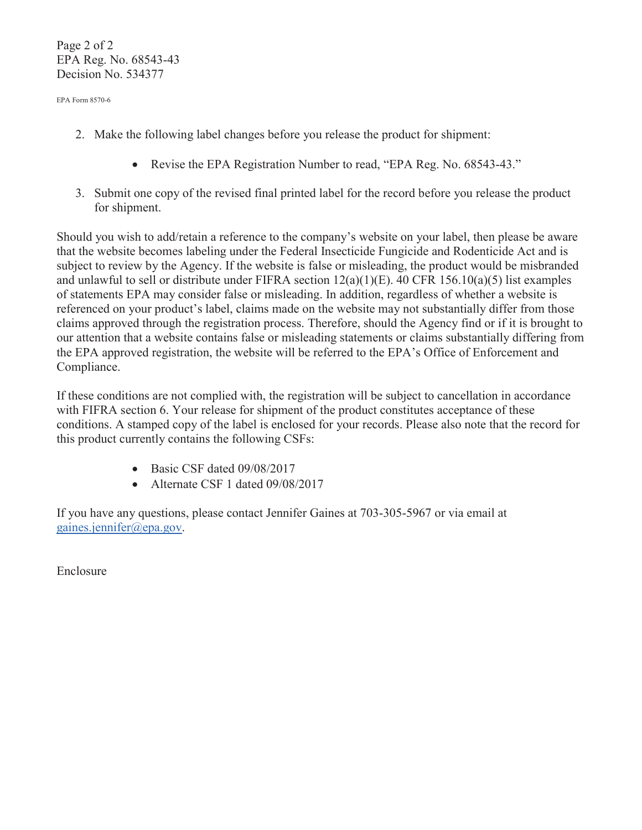Page 2 of 2 EPA Reg. No. 68543-43 Decision No. 534377

EPA Form 8570-6

- 2. Make the following label changes before you release the product for shipment:
	- Revise the EPA Registration Number to read, "EPA Reg. No. 68543-43."
- 3. Submit one copy of the revised final printed label for the record before you release the product for shipment.

Should you wish to add/retain a reference to the company's website on your label, then please be aware that the website becomes labeling under the Federal Insecticide Fungicide and Rodenticide Act and is subject to review by the Agency. If the website is false or misleading, the product would be misbranded and unlawful to sell or distribute under FIFRA section 12(a)(1)(E). 40 CFR 156.10(a)(5) list examples of statements EPA may consider false or misleading. In addition, regardless of whether a website is referenced on your product's label, claims made on the website may not substantially differ from those claims approved through the registration process. Therefore, should the Agency find or if it is brought to our attention that a website contains false or misleading statements or claims substantially differing from the EPA approved registration, the website will be referred to the EPA's Office of Enforcement and Compliance.

If these conditions are not complied with, the registration will be subject to cancellation in accordance with FIFRA section 6. Your release for shipment of the product constitutes acceptance of these conditions. A stamped copy of the label is enclosed for your records. Please also note that the record for this product currently contains the following CSFs:

- $\bullet$  Basic CSF dated 09/08/2017
- $\bullet$  Alternate CSF 1 dated 09/08/2017

If you have any questions, please contact Jennifer Gaines at 703-305-5967 or via email at gaines.jennifer@epa.gov.

Enclosure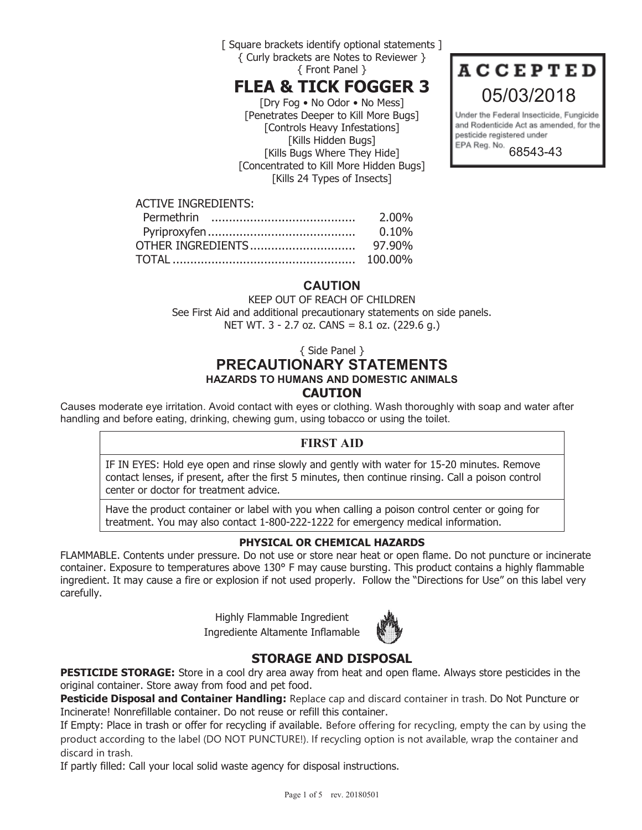[ Square brackets identify optional statements ] { Curly brackets are Notes to Reviewer } { Front Panel }

# FLEA & TICK FOGGER 3

[Dry Fog • No Odor • No Mess] [Penetrates Deeper to Kill More Bugs] [Controls Heavy Infestations] [Kills Hidden Bugs] [Kills Bugs Where They Hide] [Concentrated to Kill More Hidden Bugs] [Kills 24 Types of Insects]



Under the Federal Insecticide, Fungicide and Rodenticide Act as amended, for the pesticide registered under EPA Reg. No. 68543-43

## ACTIVE INGREDIENTS:

| 2.00%    |
|----------|
| $0.10\%$ |
|          |
|          |
|          |

## CAUTION

KEEP OUT OF REACH OF CHILDREN See First Aid and additional precautionary statements on side panels. NET WT. 3 - 2.7 oz. CANS = 8.1 oz. (229.6 g.)

{ Side Panel }

## PRECAUTIONARY STATEMENTS HAZARDS TO HUMANS AND DOMESTIC ANIMALS CAUTION

Causes moderate eye irritation. Avoid contact with eyes or clothing. Wash thoroughly with soap and water after handling and before eating, drinking, chewing gum, using tobacco or using the toilet.

## FIRST AID

IF IN EYES: Hold eye open and rinse slowly and gently with water for 15-20 minutes. Remove contact lenses, if present, after the first 5 minutes, then continue rinsing. Call a poison control center or doctor for treatment advice.

Have the product container or label with you when calling a poison control center or going for treatment. You may also contact 1-800-222-1222 for emergency medical information.

#### PHYSICAL OR CHEMICAL HAZARDS

FLAMMABLE. Contents under pressure. Do not use or store near heat or open flame. Do not puncture or incinerate container. Exposure to temperatures above 130° F may cause bursting. This product contains a highly flammable ingredient. It may cause a fire or explosion if not used properly. Follow the "Directions for Use" on this label very carefully.

> Highly Flammable Ingredient Ingrediente Altamente Inflamable



## STORAGE AND DISPOSAL

**PESTICIDE STORAGE:** Store in a cool dry area away from heat and open flame. Always store pesticides in the original container. Store away from food and pet food.

Pesticide Disposal and Container Handling: Replace cap and discard container in trash. Do Not Puncture or Incinerate! Nonrefillable container. Do not reuse or refill this container.

If Empty: Place in trash or offer for recycling if available. Before offering for recycling, empty the can by using the product according to the label (DO NOT PUNCTURE!). If recycling option is not available, wrap the container and discard in trash.

If partly filled: Call your local solid waste agency for disposal instructions.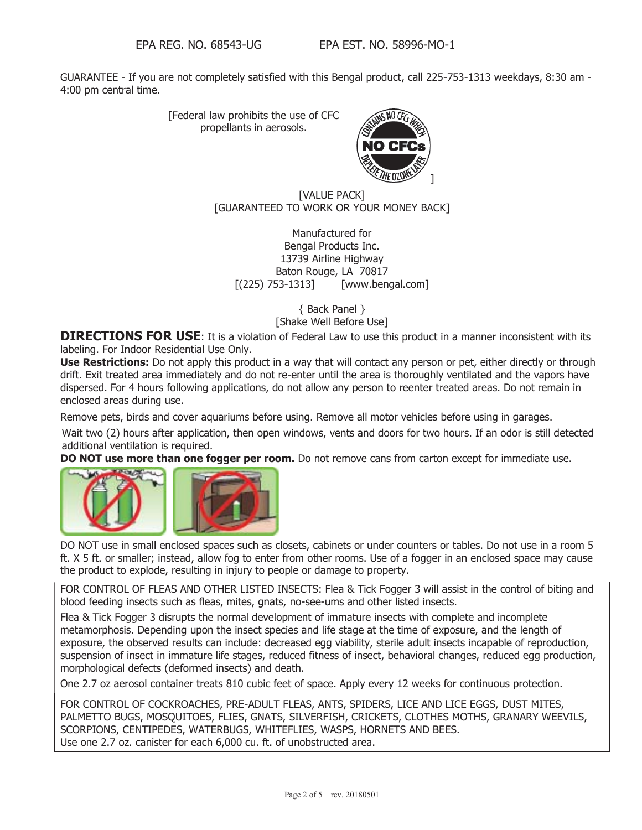GUARANTEE - If you are not completely satisfied with this Bengal product, call 225-753-1313 weekdays, 8:30 am - 4:00 pm central time.

> [Federal law prohibits the use of CFC propellants in aerosols.



#### [VALUE PACK] [GUARANTEED TO WORK OR YOUR MONEY BACK]

Manufactured for Bengal Products Inc. 13739 Airline Highway Baton Rouge, LA 70817 [(225) 753-1313] [www.bengal.com]

> { Back Panel } [Shake Well Before Use]

**DIRECTIONS FOR USE:** It is a violation of Federal Law to use this product in a manner inconsistent with its labeling. For Indoor Residential Use Only.

Use Restrictions: Do not apply this product in a way that will contact any person or pet, either directly or through drift. Exit treated area immediately and do not re-enter until the area is thoroughly ventilated and the vapors have dispersed. For 4 hours following applications, do not allow any person to reenter treated areas. Do not remain in enclosed areas during use.

Remove pets, birds and cover aquariums before using. Remove all motor vehicles before using in garages.

Wait two (2) hours after application, then open windows, vents and doors for two hours. If an odor is still detected additional ventilation is required.

DO NOT use more than one fogger per room. Do not remove cans from carton except for immediate use.



DO NOT use in small enclosed spaces such as closets, cabinets or under counters or tables. Do not use in a room 5 ft. X 5 ft. or smaller; instead, allow fog to enter from other rooms. Use of a fogger in an enclosed space may cause the product to explode, resulting in injury to people or damage to property.

FOR CONTROL OF FLEAS AND OTHER LISTED INSECTS: Flea & Tick Fogger 3 will assist in the control of biting and blood feeding insects such as fleas, mites, gnats, no-see-ums and other listed insects.

Flea & Tick Fogger 3 disrupts the normal development of immature insects with complete and incomplete metamorphosis. Depending upon the insect species and life stage at the time of exposure, and the length of exposure, the observed results can include: decreased egg viability, sterile adult insects incapable of reproduction, suspension of insect in immature life stages, reduced fitness of insect, behavioral changes, reduced egg production, morphological defects (deformed insects) and death.

One 2.7 oz aerosol container treats 810 cubic feet of space. Apply every 12 weeks for continuous protection.

FOR CONTROL OF COCKROACHES, PRE-ADULT FLEAS, ANTS, SPIDERS, LICE AND LICE EGGS, DUST MITES, PALMETTO BUGS, MOSQUITOES, FLIES, GNATS, SILVERFISH, CRICKETS, CLOTHES MOTHS, GRANARY WEEVILS, SCORPIONS, CENTIPEDES, WATERBUGS, WHITEFLIES, WASPS, HORNETS AND BEES. Use one 2.7 oz. canister for each 6,000 cu. ft. of unobstructed area.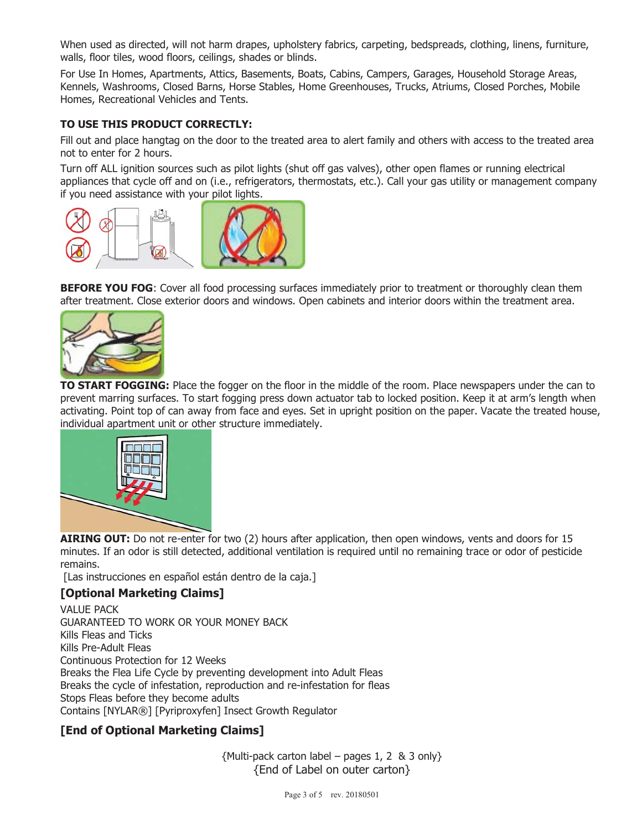When used as directed, will not harm drapes, upholstery fabrics, carpeting, bedspreads, clothing, linens, furniture, walls, floor tiles, wood floors, ceilings, shades or blinds.

For Use In Homes, Apartments, Attics, Basements, Boats, Cabins, Campers, Garages, Household Storage Areas, Kennels, Washrooms, Closed Barns, Horse Stables, Home Greenhouses, Trucks, Atriums, Closed Porches, Mobile Homes, Recreational Vehicles and Tents.

#### TO USE THIS PRODUCT CORRECTLY:

Fill out and place hangtag on the door to the treated area to alert family and others with access to the treated area not to enter for 2 hours.

Turn off ALL ignition sources such as pilot lights (shut off gas valves), other open flames or running electrical appliances that cycle off and on (i.e., refrigerators, thermostats, etc.). Call your gas utility or management company if you need assistance with your pilot lights.



BEFORE YOU FOG: Cover all food processing surfaces immediately prior to treatment or thoroughly clean them after treatment. Close exterior doors and windows. Open cabinets and interior doors within the treatment area.



TO START FOGGING: Place the fogger on the floor in the middle of the room. Place newspapers under the can to prevent marring surfaces. To start fogging press down actuator tab to locked position. Keep it at arm's length when activating. Point top of can away from face and eyes. Set in upright position on the paper. Vacate the treated house, individual apartment unit or other structure immediately.



AIRING OUT: Do not re-enter for two (2) hours after application, then open windows, vents and doors for 15 minutes. If an odor is still detected, additional ventilation is required until no remaining trace or odor of pesticide remains.

[Las instrucciones en español están dentro de la caja.]

## [Optional Marketing Claims]

VALUE PACK GUARANTEED TO WORK OR YOUR MONEY BACK Kills Fleas and Ticks Kills Pre-Adult Fleas Continuous Protection for 12 Weeks Breaks the Flea Life Cycle by preventing development into Adult Fleas Breaks the cycle of infestation, reproduction and re-infestation for fleas Stops Fleas before they become adults Contains [NYLAR®] [Pyriproxyfen] Insect Growth Regulator

## [End of Optional Marketing Claims]

 ${Multi-pack carton label - paqes 1, 2 & 3 only}$ {End of Label on outer carton}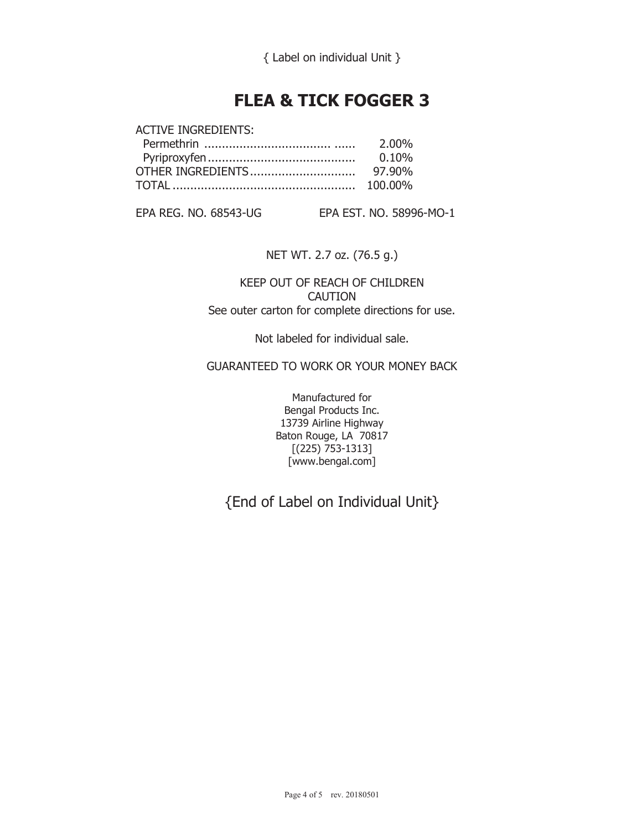## FLEA & TICK FOGGER 3

| <b>ACTIVE INGREDIENTS:</b> |          |
|----------------------------|----------|
|                            | 2.00%    |
|                            | $0.10\%$ |
|                            |          |
|                            |          |
|                            |          |

EPA REG. NO. 68543-UG EPA EST. NO. 58996-MO-1

NET WT. 2.7 oz. (76.5 g.)

KEEP OUT OF REACH OF CHILDREN CAUTION See outer carton for complete directions for use.

Not labeled for individual sale.

GUARANTEED TO WORK OR YOUR MONEY BACK

Manufactured for Bengal Products Inc. 13739 Airline Highway Baton Rouge, LA 70817 [(225) 753-1313] [www.bengal.com]

{End of Label on Individual Unit}